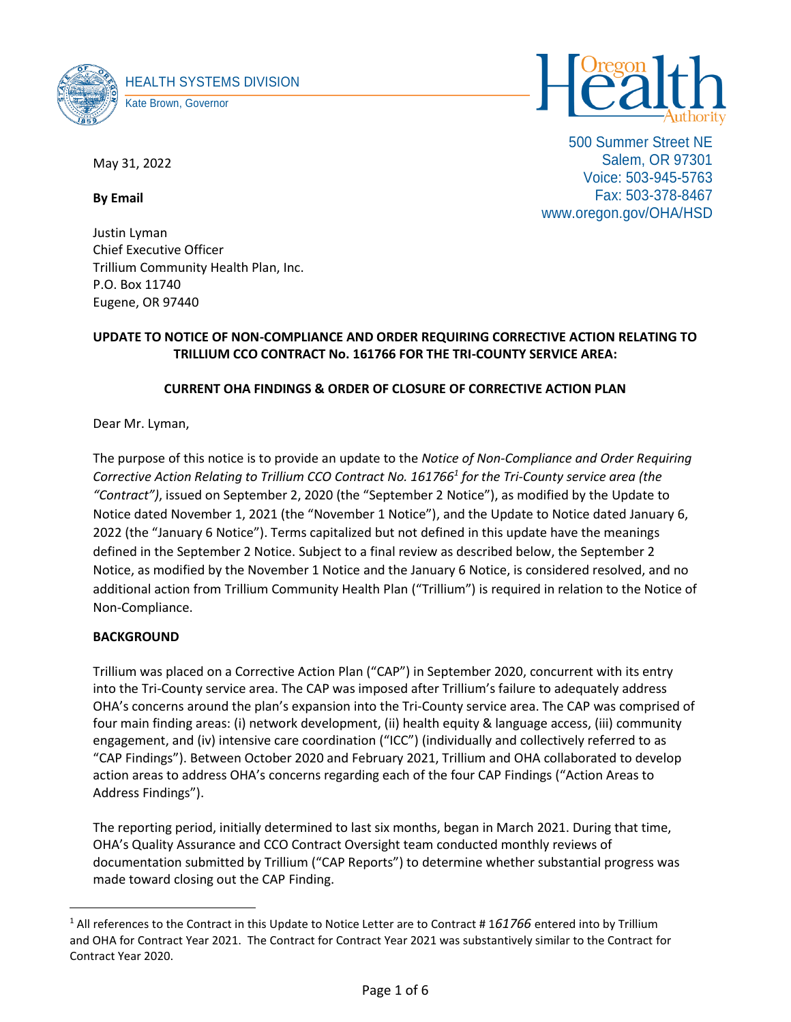



500 Summer Street NE Salem, OR 97301 Voice: 503-945-5763 Fax: 503-378-8467 www.oregon.gov/OHA/HSD

May 31, 2022

**By Email** 

Justin Lyman Chief Executive Officer Trillium Community Health Plan, Inc. P.O. Box 11740 Eugene, OR 97440

# **UPDATE TO NOTICE OF NON-COMPLIANCE AND ORDER REQUIRING CORRECTIVE ACTION RELATING TO TRILLIUM CCO CONTRACT No. 161766 FOR THE TRI-COUNTY SERVICE AREA:**

# **CURRENT OHA FINDINGS & ORDER OF CLOSURE OF CORRECTIVE ACTION PLAN**

Dear Mr. Lyman,

The purpose of this notice is to provide an update to the *Notice of Non-Compliance and Order Requiring Corrective Action Relating to Trillium CCO Contract No. 161766<sup>1</sup> for the Tri-County service area (the "Contract")*, issued on September 2, 2020 (the "September 2 Notice"), as modified by the Update to Notice dated November 1, 2021 (the "November 1 Notice"), and the Update to Notice dated January 6, 2022 (the "January 6 Notice"). Terms capitalized but not defined in this update have the meanings defined in the September 2 Notice. Subject to a final review as described below, the September 2 Notice, as modified by the November 1 Notice and the January 6 Notice, is considered resolved, and no additional action from Trillium Community Health Plan ("Trillium") is required in relation to the Notice of Non-Compliance.

## **BACKGROUND**

Trillium was placed on a Corrective Action Plan ("CAP") in September 2020, concurrent with its entry into the Tri-County service area. The CAP was imposed after Trillium's failure to adequately address OHA's concerns around the plan's expansion into the Tri-County service area. The CAP was comprised of four main finding areas: (i) network development, (ii) health equity & language access, (iii) community engagement, and (iv) intensive care coordination ("ICC") (individually and collectively referred to as "CAP Findings"). Between October 2020 and February 2021, Trillium and OHA collaborated to develop action areas to address OHA's concerns regarding each of the four CAP Findings ("Action Areas to Address Findings").

The reporting period, initially determined to last six months, began in March 2021. During that time, OHA's Quality Assurance and CCO Contract Oversight team conducted monthly reviews of documentation submitted by Trillium ("CAP Reports") to determine whether substantial progress was made toward closing out the CAP Finding.

<sup>1</sup> All references to the Contract in this Update to Notice Letter are to Contract # 1*61766* entered into by Trillium and OHA for Contract Year 2021. The Contract for Contract Year 2021 was substantively similar to the Contract for Contract Year 2020.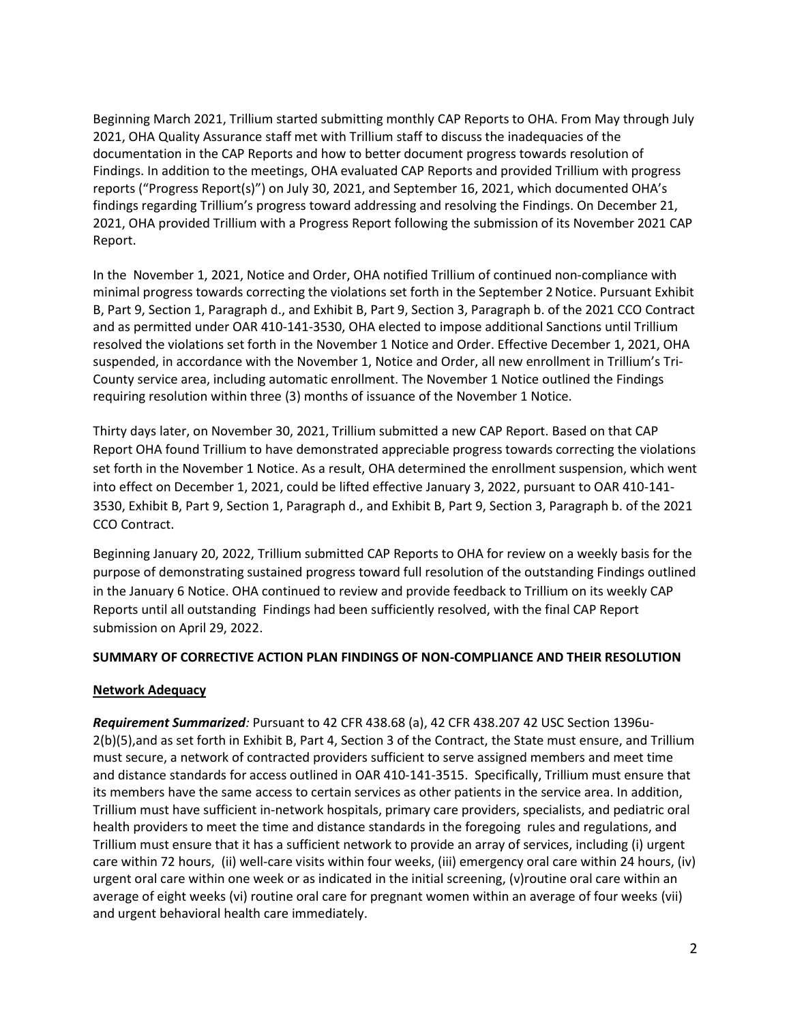Beginning March 2021, Trillium started submitting monthly CAP Reports to OHA. From May through July 2021, OHA Quality Assurance staff met with Trillium staff to discuss the inadequacies of the documentation in the CAP Reports and how to better document progress towards resolution of Findings. In addition to the meetings, OHA evaluated CAP Reports and provided Trillium with progress reports ("Progress Report(s)") on July 30, 2021, and September 16, 2021, which documented OHA's findings regarding Trillium's progress toward addressing and resolving the Findings. On December 21, 2021, OHA provided Trillium with a Progress Report following the submission of its November 2021 CAP Report.

In the November 1, 2021, Notice and Order, OHA notified Trillium of continued non-compliance with minimal progress towards correcting the violations set forth in the September 2Notice. Pursuant Exhibit B, Part 9, Section 1, Paragraph d., and Exhibit B, Part 9, Section 3, Paragraph b. of the 2021 CCO Contract and as permitted under OAR 410-141-3530, OHA elected to impose additional Sanctions until Trillium resolved the violations set forth in the November 1 Notice and Order. Effective December 1, 2021, OHA suspended, in accordance with the November 1, Notice and Order, all new enrollment in Trillium's Tri-County service area, including automatic enrollment. The November 1 Notice outlined the Findings requiring resolution within three (3) months of issuance of the November 1 Notice.

Thirty days later, on November 30, 2021, Trillium submitted a new CAP Report. Based on that CAP Report OHA found Trillium to have demonstrated appreciable progress towards correcting the violations set forth in the November 1 Notice. As a result, OHA determined the enrollment suspension, which went into effect on December 1, 2021, could be lifted effective January 3, 2022, pursuant to OAR 410-141- 3530, Exhibit B, Part 9, Section 1, Paragraph d., and Exhibit B, Part 9, Section 3, Paragraph b. of the 2021 CCO Contract.

Beginning January 20, 2022, Trillium submitted CAP Reports to OHA for review on a weekly basis for the purpose of demonstrating sustained progress toward full resolution of the outstanding Findings outlined in the January 6 Notice. OHA continued to review and provide feedback to Trillium on its weekly CAP Reports until all outstanding Findings had been sufficiently resolved, with the final CAP Report submission on April 29, 2022.

### **SUMMARY OF CORRECTIVE ACTION PLAN FINDINGS OF NON-COMPLIANCE AND THEIR RESOLUTION**

### **Network Adequacy**

*Requirement Summarized:* Pursuant to 42 CFR 438.68 (a), 42 CFR 438.207 42 USC Section 1396u-2(b)(5),and as set forth in Exhibit B, Part 4, Section 3 of the Contract, the State must ensure, and Trillium must secure, a network of contracted providers sufficient to serve assigned members and meet time and distance standards for access outlined in OAR 410-141-3515. Specifically, Trillium must ensure that its members have the same access to certain services as other patients in the service area. In addition, Trillium must have sufficient in-network hospitals, primary care providers, specialists, and pediatric oral health providers to meet the time and distance standards in the foregoing rules and regulations, and Trillium must ensure that it has a sufficient network to provide an array of services, including (i) urgent care within 72 hours, (ii) well-care visits within four weeks, (iii) emergency oral care within 24 hours, (iv) urgent oral care within one week or as indicated in the initial screening, (v)routine oral care within an average of eight weeks (vi) routine oral care for pregnant women within an average of four weeks (vii) and urgent behavioral health care immediately.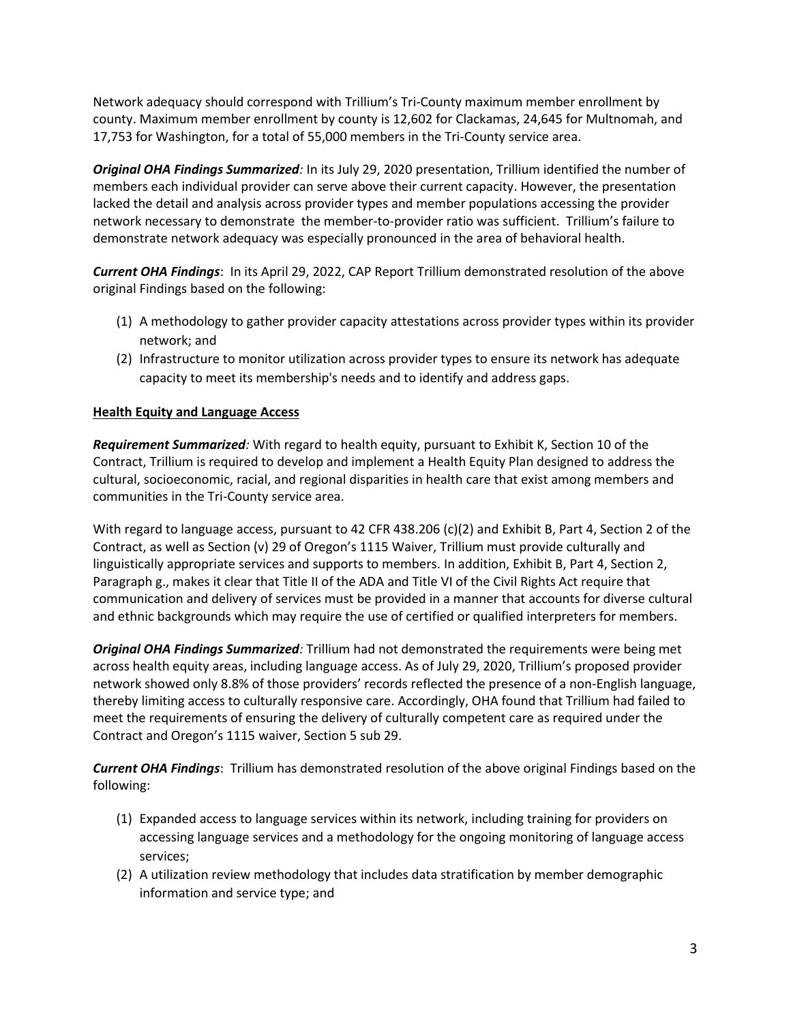Network adequacy should correspond with Trillium's Tri-County maximum member enrollment by county. Maximum member enrollment by county is 12,602 for Clackamas, 24,645 for Multnomah, and 17,753 for Washington, for a total of 55,000 members in the Tri-County service area.

*Original OHA Findings Summarized:* In its July 29, 2020 presentation, Trillium identified the number of members each individual provider can serve above their current capacity. However, the presentation lacked the detail and analysis across provider types and member populations accessing the provider network necessary to demonstrate the member-to-provider ratio was sufficient. Trillium's failure to demonstrate network adequacy was especially pronounced in the area of behavioral health.

*Current OHA Findings*: In its April 29, 2022, CAP Report Trillium demonstrated resolution of the above original Findings based on the following:

- (1) A methodology to gather provider capacity attestations across provider types within its provider network; and
- (2) Infrastructure to monitor utilization across provider types to ensure its network has adequate capacity to meet its membership's needs and to identify and address gaps.

## **Health Equity and Language Access**

*Requirement Summarized:* With regard to health equity, pursuant to Exhibit K, Section 10 of the Contract, Trillium is required to develop and implement a Health Equity Plan designed to address the cultural, socioeconomic, racial, and regional disparities in health care that exist among members and communities in the Tri-County service area.

With regard to language access, pursuant to 42 CFR 438.206 (c)(2) and Exhibit B, Part 4, Section 2 of the Contract, as well as Section (v) 29 of Oregon's 1115 Waiver, Trillium must provide culturally and linguistically appropriate services and supports to members. In addition, Exhibit B, Part 4, Section 2, Paragraph g., makes it clear that Title II of the ADA and Title VI of the Civil Rights Act require that communication and delivery of services must be provided in a manner that accounts for diverse cultural and ethnic backgrounds which may require the use of certified or qualified interpreters for members.

*Original OHA Findings Summarized:* Trillium had not demonstrated the requirements were being met across health equity areas, including language access. As of July 29, 2020, Trillium's proposed provider network showed only 8.8% of those providers' records reflected the presence of a non-English language, thereby limiting access to culturally responsive care. Accordingly, OHA found that Trillium had failed to meet the requirements of ensuring the delivery of culturally competent care as required under the Contract and Oregon's 1115 waiver, Section 5 sub 29.

*Current OHA Findings*: Trillium has demonstrated resolution of the above original Findings based on the following:

- (1) Expanded access to language services within its network, including training for providers on accessing language services and a methodology for the ongoing monitoring of language access services;
- (2) A utilization review methodology that includes data stratification by member demographic information and service type; and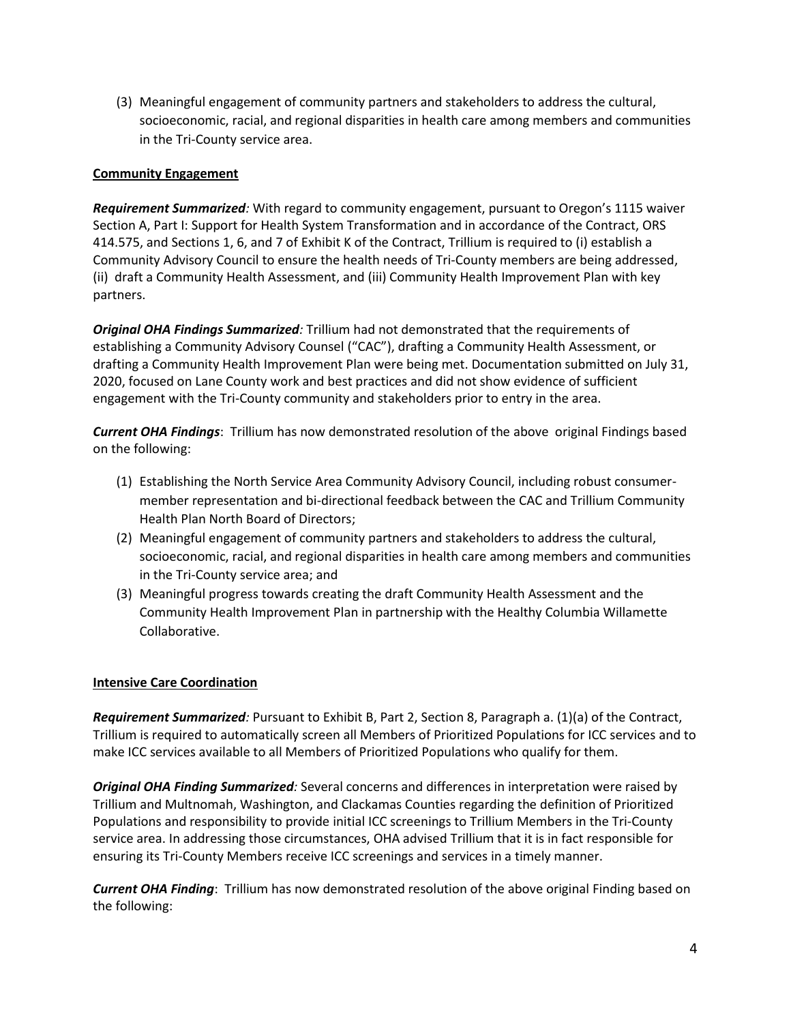(3) Meaningful engagement of community partners and stakeholders to address the cultural, socioeconomic, racial, and regional disparities in health care among members and communities in the Tri-County service area.

## **Community Engagement**

*Requirement Summarized:* With regard to community engagement, pursuant to Oregon's 1115 waiver Section A, Part I: Support for Health System Transformation and in accordance of the Contract, ORS 414.575, and Sections 1, 6, and 7 of Exhibit K of the Contract, Trillium is required to (i) establish a Community Advisory Council to ensure the health needs of Tri-County members are being addressed, (ii) draft a Community Health Assessment, and (iii) Community Health Improvement Plan with key partners.

*Original OHA Findings Summarized:* Trillium had not demonstrated that the requirements of establishing a Community Advisory Counsel ("CAC"), drafting a Community Health Assessment, or drafting a Community Health Improvement Plan were being met. Documentation submitted on July 31, 2020, focused on Lane County work and best practices and did not show evidence of sufficient engagement with the Tri-County community and stakeholders prior to entry in the area.

*Current OHA Findings*: Trillium has now demonstrated resolution of the above original Findings based on the following:

- (1) Establishing the North Service Area Community Advisory Council, including robust consumermember representation and bi-directional feedback between the CAC and Trillium Community Health Plan North Board of Directors;
- (2) Meaningful engagement of community partners and stakeholders to address the cultural, socioeconomic, racial, and regional disparities in health care among members and communities in the Tri-County service area; and
- (3) Meaningful progress towards creating the draft Community Health Assessment and the Community Health Improvement Plan in partnership with the Healthy Columbia Willamette Collaborative.

### **Intensive Care Coordination**

*Requirement Summarized:* Pursuant to Exhibit B, Part 2, Section 8, Paragraph a. (1)(a) of the Contract, Trillium is required to automatically screen all Members of Prioritized Populations for ICC services and to make ICC services available to all Members of Prioritized Populations who qualify for them.

*Original OHA Finding Summarized:* Several concerns and differences in interpretation were raised by Trillium and Multnomah, Washington, and Clackamas Counties regarding the definition of Prioritized Populations and responsibility to provide initial ICC screenings to Trillium Members in the Tri-County service area. In addressing those circumstances, OHA advised Trillium that it is in fact responsible for ensuring its Tri-County Members receive ICC screenings and services in a timely manner.

*Current OHA Finding*: Trillium has now demonstrated resolution of the above original Finding based on the following: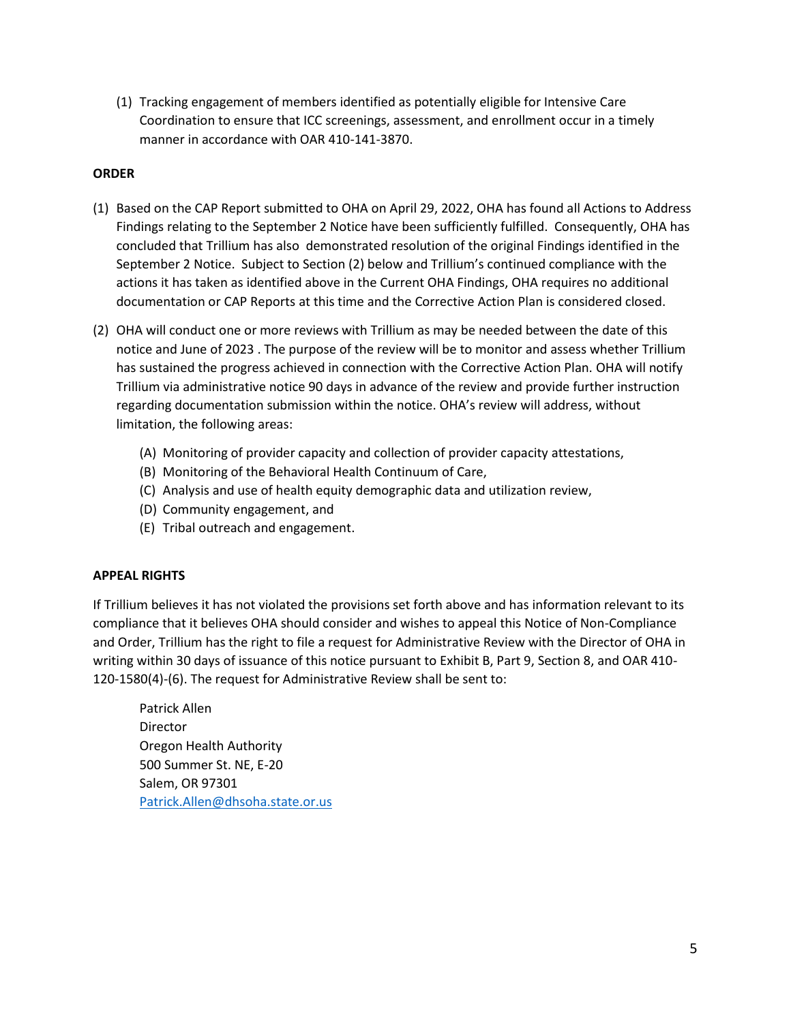(1) Tracking engagement of members identified as potentially eligible for Intensive Care Coordination to ensure that ICC screenings, assessment, and enrollment occur in a timely manner in accordance with OAR 410-141-3870.

## **ORDER**

- (1) Based on the CAP Report submitted to OHA on April 29, 2022, OHA has found all Actions to Address Findings relating to the September 2 Notice have been sufficiently fulfilled. Consequently, OHA has concluded that Trillium has also demonstrated resolution of the original Findings identified in the September 2 Notice. Subject to Section (2) below and Trillium's continued compliance with the actions it has taken as identified above in the Current OHA Findings, OHA requires no additional documentation or CAP Reports at this time and the Corrective Action Plan is considered closed.
- (2) OHA will conduct one or more reviews with Trillium as may be needed between the date of this notice and June of 2023 . The purpose of the review will be to monitor and assess whether Trillium has sustained the progress achieved in connection with the Corrective Action Plan. OHA will notify Trillium via administrative notice 90 days in advance of the review and provide further instruction regarding documentation submission within the notice. OHA's review will address, without limitation, the following areas:
	- (A) Monitoring of provider capacity and collection of provider capacity attestations,
	- (B) Monitoring of the Behavioral Health Continuum of Care,
	- (C) Analysis and use of health equity demographic data and utilization review,
	- (D) Community engagement, and
	- (E) Tribal outreach and engagement.

### **APPEAL RIGHTS**

If Trillium believes it has not violated the provisions set forth above and has information relevant to its compliance that it believes OHA should consider and wishes to appeal this Notice of Non-Compliance and Order, Trillium has the right to file a request for Administrative Review with the Director of OHA in writing within 30 days of issuance of this notice pursuant to Exhibit B, Part 9, Section 8, and OAR 410- 120-1580(4)-(6). The request for Administrative Review shall be sent to:

Patrick Allen Director Oregon Health Authority 500 Summer St. NE, E-20 Salem, OR 97301 [Patrick.Allen@dhsoha.state.or.us](mailto:Patrick.Allen@dhsoha.state.or.us)